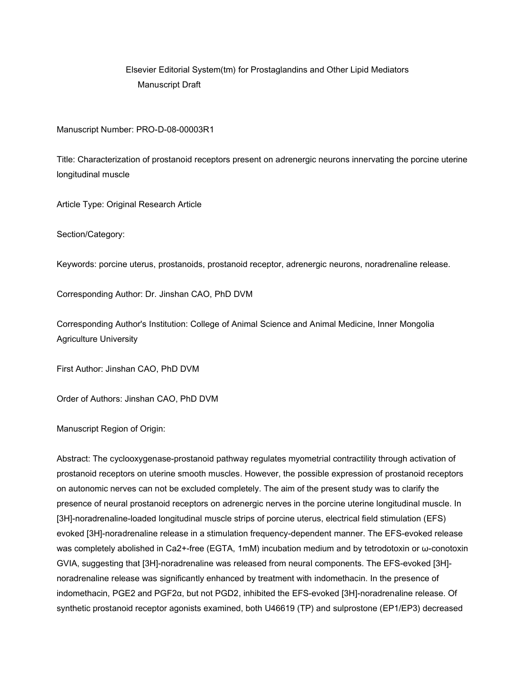# Elsevier Editorial System(tm) for Prostaglandins and Other Lipid Mediators Manuscript Draft

#### Manuscript Number: PRO-D-08-00003R1

Title: Characterization of prostanoid receptors present on adrenergic neurons innervating the porcine uterine longitudinal muscle

Article Type: Original Research Article

Section/Category:

Keywords: porcine uterus, prostanoids, prostanoid receptor, adrenergic neurons, noradrenaline release.

Corresponding Author: Dr. Jinshan CAO, PhD DVM

Corresponding Author's Institution: College of Animal Science and Animal Medicine, Inner Mongolia Agriculture University

First Author: Jinshan CAO, PhD DVM

Order of Authors: Jinshan CAO, PhD DVM

Manuscript Region of Origin:

Abstract: The cyclooxygenase-prostanoid pathway regulates myometrial contractility through activation of prostanoid receptors on uterine smooth muscles. However, the possible expression of prostanoid receptors on autonomic nerves can not be excluded completely. The aim of the present study was to clarify the presence of neural prostanoid receptors on adrenergic nerves in the porcine uterine longitudinal muscle. In [3H]-noradrenaline-loaded longitudinal muscle strips of porcine uterus, electrical field stimulation (EFS) evoked [3H]-noradrenaline release in a stimulation frequency-dependent manner. The EFS-evoked release was completely abolished in Ca2+-free (EGTA, 1mM) incubation medium and by tetrodotoxin or ω-conotoxin GVIA, suggesting that [3H]-noradrenaline was released from neural components. The EFS-evoked [3H] noradrenaline release was significantly enhanced by treatment with indomethacin. In the presence of indomethacin, PGE2 and PGF2α, but not PGD2, inhibited the EFS-evoked [3H]-noradrenaline release. Of synthetic prostanoid receptor agonists examined, both U46619 (TP) and sulprostone (EP1/EP3) decreased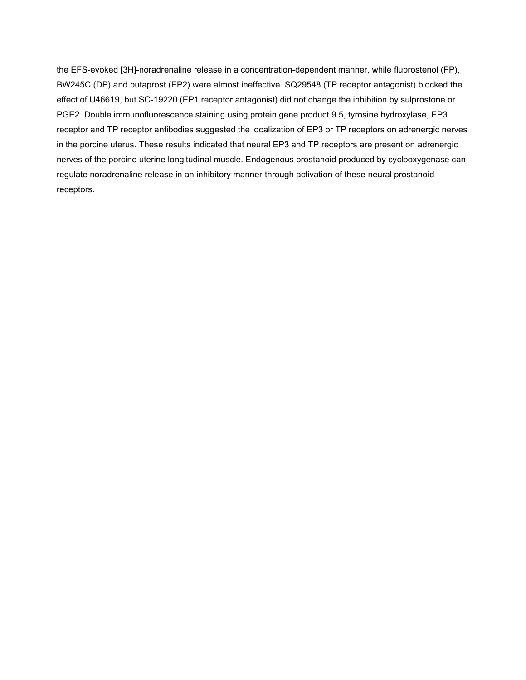the EFS-evoked [3H]-noradrenaline release in a concentration-dependent manner, while fluprostenol (FP), BW245C (DP) and butaprost (EP2) were almost ineffective. SQ29548 (TP receptor antagonist) blocked the effect of U46619, but SC-19220 (EP1 receptor antagonist) did not change the inhibition by sulprostone or PGE2. Double immunofluorescence staining using protein gene product 9.5, tyrosine hydroxylase, EP3 receptor and TP receptor antibodies suggested the localization of EP3 or TP receptors on adrenergic nerves in the porcine uterus. These results indicated that neural EP3 and TP receptors are present on adrenergic nerves of the porcine uterine longitudinal muscle. Endogenous prostanoid produced by cyclooxygenase can regulate noradrenaline release in an inhibitory manner through activation of these neural prostanoid receptors.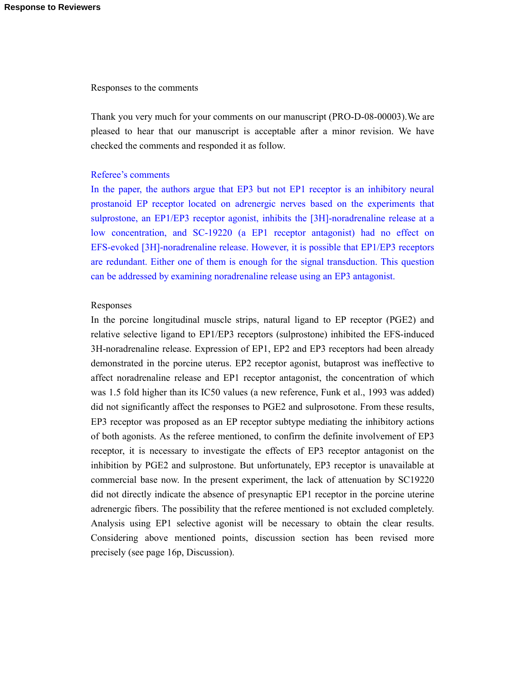#### Responses to the comments

Thank you very much for your comments on our manuscript (PRO-D-08-00003).We are pleased to hear that our manuscript is acceptable after a minor revision. We have checked the comments and responded it as follow.

#### Referee's comments

In the paper, the authors argue that EP3 but not EP1 receptor is an inhibitory neural prostanoid EP receptor located on adrenergic nerves based on the experiments that sulprostone, an EP1/EP3 receptor agonist, inhibits the [3H]-noradrenaline release at a low concentration, and SC-19220 (a EP1 receptor antagonist) had no effect on EFS-evoked [3H]-noradrenaline release. However, it is possible that EP1/EP3 receptors are redundant. Either one of them is enough for the signal transduction. This question can be addressed by examining noradrenaline release using an EP3 antagonist.

#### Responses

In the porcine longitudinal muscle strips, natural ligand to EP receptor (PGE2) and relative selective ligand to EP1/EP3 receptors (sulprostone) inhibited the EFS-induced 3H-noradrenaline release. Expression of EP1, EP2 and EP3 receptors had been already demonstrated in the porcine uterus. EP2 receptor agonist, butaprost was ineffective to affect noradrenaline release and EP1 receptor antagonist, the concentration of which was 1.5 fold higher than its IC50 values (a new reference, Funk et al., 1993 was added) did not significantly affect the responses to PGE2 and sulprosotone. From these results, EP3 receptor was proposed as an EP receptor subtype mediating the inhibitory actions of both agonists. As the referee mentioned, to confirm the definite involvement of EP3 receptor, it is necessary to investigate the effects of EP3 receptor antagonist on the inhibition by PGE2 and sulprostone. But unfortunately, EP3 receptor is unavailable at commercial base now. In the present experiment, the lack of attenuation by SC19220 did not directly indicate the absence of presynaptic EP1 receptor in the porcine uterine adrenergic fibers. The possibility that the referee mentioned is not excluded completely. Analysis using EP1 selective agonist will be necessary to obtain the clear results. Considering above mentioned points, discussion section has been revised more precisely (see page 16p, Discussion).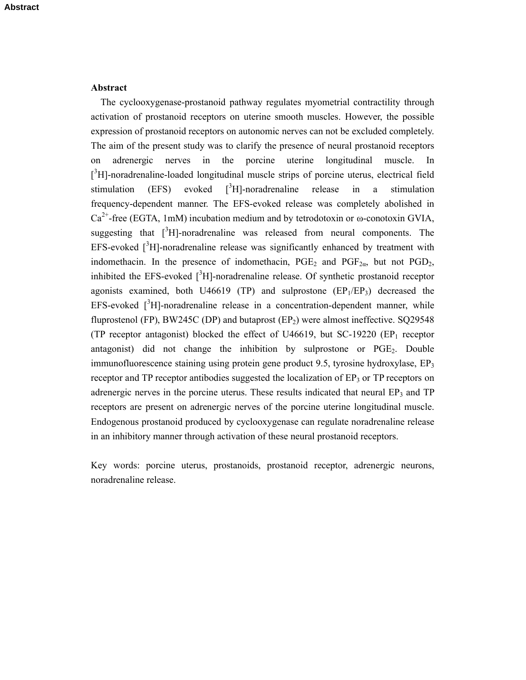#### **Abstract**

The cyclooxygenase-prostanoid pathway regulates myometrial contractility through activation of prostanoid receptors on uterine smooth muscles. However, the possible expression of prostanoid receptors on autonomic nerves can not be excluded completely. The aim of the present study was to clarify the presence of neural prostanoid receptors on adrenergic nerves in the porcine uterine longitudinal muscle. In [<sup>3</sup>H]-noradrenaline-loaded longitudinal muscle strips of porcine uterus, electrical field stimulation  $(EFS)$  evoked  $[{}^{3}H]$ -noradrenaline release in a stimulation frequency-dependent manner. The EFS-evoked release was completely abolished in  $Ca^{2+}$ -free (EGTA, 1mM) incubation medium and by tetrodotoxin or  $\omega$ -conotoxin GVIA, suggesting that  $\int^3 H$ ]-noradrenaline was released from neural components. The EFS-evoked  $\int^3 H$ ]-noradrenaline release was significantly enhanced by treatment with indomethacin. In the presence of indomethacin,  $PGE_2$  and  $PGF_{2\alpha}$ , but not  $PGD_2$ , inhibited the EFS-evoked  $[^{3}H]$ -noradrenaline release. Of synthetic prostanoid receptor agonists examined, both U46619 (TP) and sulprostone  $(EP_1/EP_3)$  decreased the  $EFS$ -evoked  $[^{3}H]$ -noradrenaline release in a concentration-dependent manner, while fluprostenol (FP), BW245C (DP) and butaprost (EP<sub>2</sub>) were almost ineffective. SQ29548 (TP receptor antagonist) blocked the effect of U46619, but  $SC-19220$  (EP<sub>1</sub> receptor antagonist) did not change the inhibition by sulprostone or  $PGE_2$ . Double immunofluorescence staining using protein gene product 9.5, tyrosine hydroxylase,  $EP_3$ receptor and TP receptor antibodies suggested the localization of  $EP<sub>3</sub>$  or TP receptors on adrenergic nerves in the porcine uterus. These results indicated that neural  $EP_3$  and  $TP$ receptors are present on adrenergic nerves of the porcine uterine longitudinal muscle. Endogenous prostanoid produced by cyclooxygenase can regulate noradrenaline release in an inhibitory manner through activation of these neural prostanoid receptors.

Key words: porcine uterus, prostanoids, prostanoid receptor, adrenergic neurons, noradrenaline release.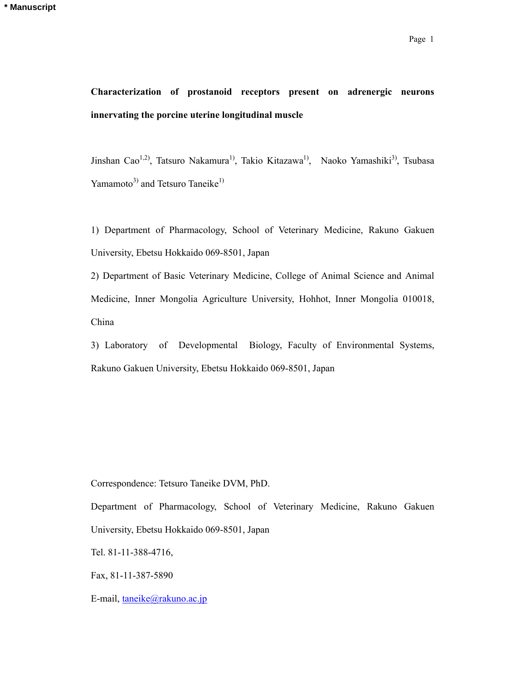# **Characterization of prostanoid receptors present on adrenergic neurons innervating the porcine uterine longitudinal muscle**

Jinshan Cao<sup>1,2)</sup>, Tatsuro Nakamura<sup>1)</sup>, Takio Kitazawa<sup>1)</sup>, Naoko Yamashiki<sup>3)</sup>, Tsubasa Yamamoto<sup>3)</sup> and Tetsuro Taneike<sup>1)</sup>

1) Department of Pharmacology, School of Veterinary Medicine, Rakuno Gakuen University, Ebetsu Hokkaido 069-8501, Japan

2) Department of Basic Veterinary Medicine, College of Animal Science and Animal Medicine, Inner Mongolia Agriculture University, Hohhot, Inner Mongolia 010018, China

3) Laboratory of Developmental Biology, Faculty of Environmental Systems, Rakuno Gakuen University, Ebetsu Hokkaido 069-8501, Japan

Correspondence: Tetsuro Taneike DVM, PhD.

Department of Pharmacology, School of Veterinary Medicine, Rakuno Gakuen University, Ebetsu Hokkaido 069-8501, Japan

Tel. 81-11-388-4716,

Fax, 81-11-387-5890

E-mail, [taneike@rakuno.ac.jp](mailto:taneike@rakuno.ac.jp)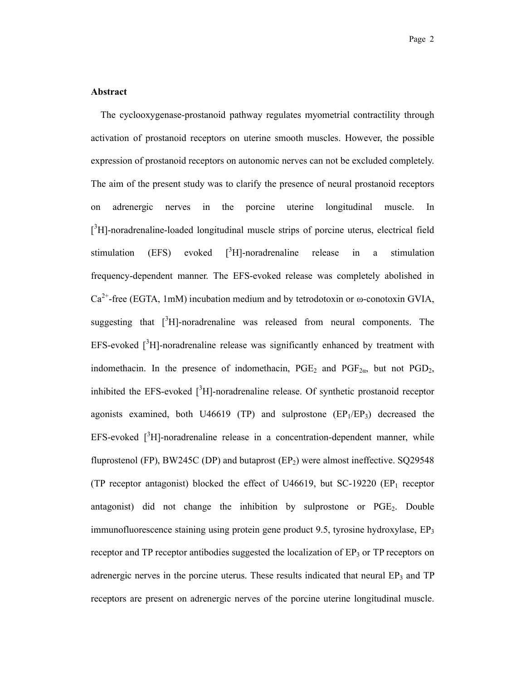#### **Abstract**

The cyclooxygenase-prostanoid pathway regulates myometrial contractility through activation of prostanoid receptors on uterine smooth muscles. However, the possible expression of prostanoid receptors on autonomic nerves can not be excluded completely. The aim of the present study was to clarify the presence of neural prostanoid receptors on adrenergic nerves in the porcine uterine longitudinal muscle. In  $[$ <sup>3</sup>H]-noradrenaline-loaded longitudinal muscle strips of porcine uterus, electrical field stimulation (EFS) evoked  ${}^{3}$ H]-noradrenaline release in a stimulation frequency-dependent manner. The EFS-evoked release was completely abolished in  $Ca^{2+}$ -free (EGTA, 1mM) incubation medium and by tetrodotoxin or  $\omega$ -conotoxin GVIA, suggesting that  $[^{3}H]$ -noradrenaline was released from neural components. The EFS-evoked  $\int^3 H$ ]-noradrenaline release was significantly enhanced by treatment with indomethacin. In the presence of indomethacin,  $PGE_2$  and  $PGF_{2\alpha}$ , but not  $PGD_2$ , inhibited the EFS-evoked  $[^{3}H]$ -noradrenaline release. Of synthetic prostanoid receptor agonists examined, both U46619 (TP) and sulprostone  $(EP_1/EP_3)$  decreased the  $EFS$ -evoked  $[^{3}H]$ -noradrenaline release in a concentration-dependent manner, while fluprostenol (FP), BW245C (DP) and butaprost  $(EP_2)$  were almost ineffective. SQ29548 (TP receptor antagonist) blocked the effect of U46619, but  $SC-19220$  (EP<sub>1</sub> receptor antagonist) did not change the inhibition by sulprostone or PGE2. Double immunofluorescence staining using protein gene product 9.5, tyrosine hydroxylase,  $EP_3$ receptor and TP receptor antibodies suggested the localization of  $EP<sub>3</sub>$  or TP receptors on adrenergic nerves in the porcine uterus. These results indicated that neural  $EP_3$  and  $TP$ receptors are present on adrenergic nerves of the porcine uterine longitudinal muscle.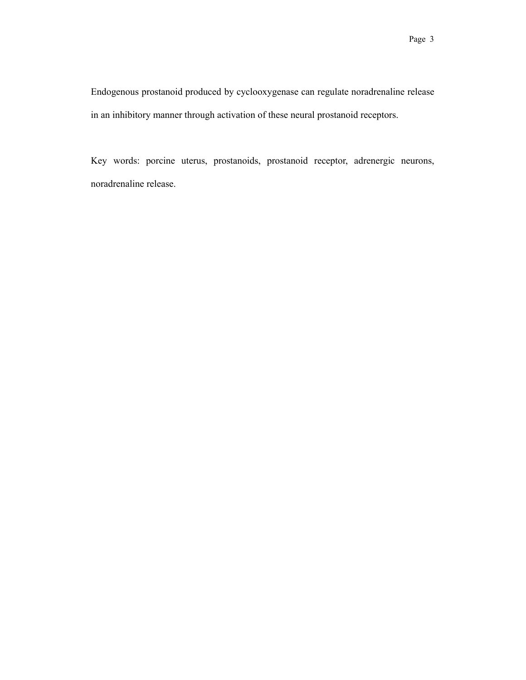Endogenous prostanoid produced by cyclooxygenase can regulate noradrenaline release in an inhibitory manner through activation of these neural prostanoid receptors.

Key words: porcine uterus, prostanoids, prostanoid receptor, adrenergic neurons, noradrenaline release.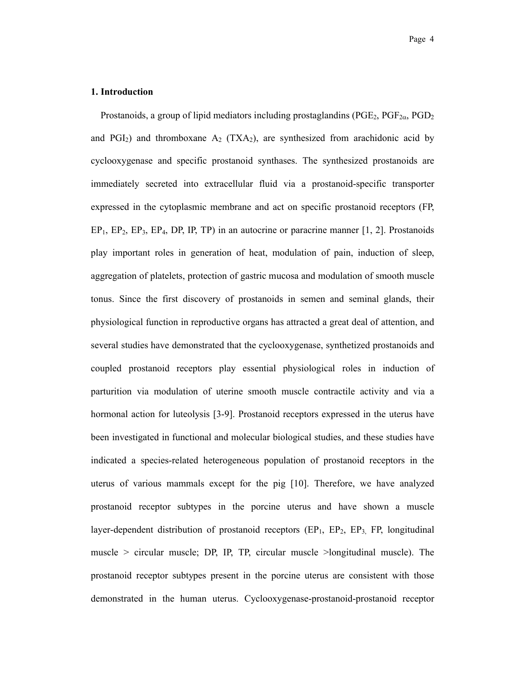#### **1. Introduction**

Prostanoids, a group of lipid mediators including prostaglandins ( $PGE_2$ ,  $PGF_{2\alpha}$ ,  $PGD_2$ and PGI<sub>2</sub>) and thromboxane  $A_2$  (TXA<sub>2</sub>), are synthesized from arachidonic acid by cyclooxygenase and specific prostanoid synthases. The synthesized prostanoids are immediately secreted into extracellular fluid via a prostanoid-specific transporter expressed in the cytoplasmic membrane and act on specific prostanoid receptors (FP,  $EP_1$ ,  $EP_2$ ,  $EP_3$ ,  $EP_4$ ,  $DP$ ,  $IP$ ,  $TP$ ) in an autocrine or paracrine manner [1, 2]. Prostanoids play important roles in generation of heat, modulation of pain, induction of sleep, aggregation of platelets, protection of gastric mucosa and modulation of smooth muscle tonus. Since the first discovery of prostanoids in semen and seminal glands, their physiological function in reproductive organs has attracted a great deal of attention, and several studies have demonstrated that the cyclooxygenase, synthetized prostanoids and coupled prostanoid receptors play essential physiological roles in induction of parturition via modulation of uterine smooth muscle contractile activity and via a hormonal action for luteolysis [3-9]. Prostanoid receptors expressed in the uterus have been investigated in functional and molecular biological studies, and these studies have indicated a species-related heterogeneous population of prostanoid receptors in the uterus of various mammals except for the pig [10]. Therefore, we have analyzed prostanoid receptor subtypes in the porcine uterus and have shown a muscle layer-dependent distribution of prostanoid receptors  $(EP_1, EP_2, EP_3, FP_1)$  longitudinal muscle > circular muscle; DP, IP, TP, circular muscle >longitudinal muscle). The prostanoid receptor subtypes present in the porcine uterus are consistent with those demonstrated in the human uterus. Cyclooxygenase-prostanoid-prostanoid receptor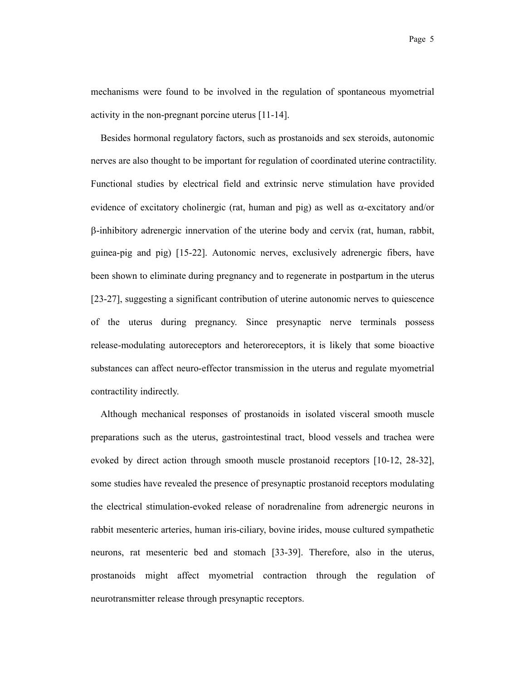mechanisms were found to be involved in the regulation of spontaneous myometrial activity in the non-pregnant porcine uterus [11-14].

Besides hormonal regulatory factors, such as prostanoids and sex steroids, autonomic nerves are also thought to be important for regulation of coordinated uterine contractility. Functional studies by electrical field and extrinsic nerve stimulation have provided evidence of excitatory cholinergic (rat, human and pig) as well as  $\alpha$ -excitatory and/or  $\beta$ -inhibitory adrenergic innervation of the uterine body and cervix (rat, human, rabbit, guinea-pig and pig) [15-22]. Autonomic nerves, exclusively adrenergic fibers, have been shown to eliminate during pregnancy and to regenerate in postpartum in the uterus [23-27], suggesting a significant contribution of uterine autonomic nerves to quiescence of the uterus during pregnancy. Since presynaptic nerve terminals possess release-modulating autoreceptors and heteroreceptors, it is likely that some bioactive substances can affect neuro-effector transmission in the uterus and regulate myometrial contractility indirectly.

Although mechanical responses of prostanoids in isolated visceral smooth muscle preparations such as the uterus, gastrointestinal tract, blood vessels and trachea were evoked by direct action through smooth muscle prostanoid receptors [10-12, 28-32], some studies have revealed the presence of presynaptic prostanoid receptors modulating the electrical stimulation-evoked release of noradrenaline from adrenergic neurons in rabbit mesenteric arteries, human iris-ciliary, bovine irides, mouse cultured sympathetic neurons, rat mesenteric bed and stomach [33-39]. Therefore, also in the uterus, prostanoids might affect myometrial contraction through the regulation of neurotransmitter release through presynaptic receptors.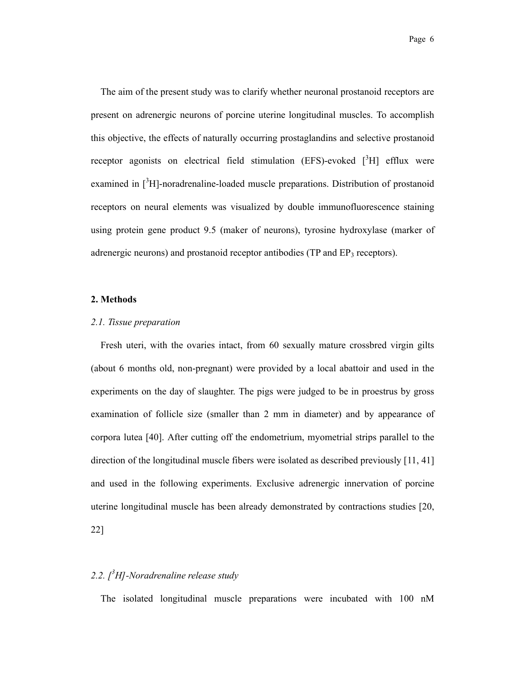The aim of the present study was to clarify whether neuronal prostanoid receptors are present on adrenergic neurons of porcine uterine longitudinal muscles. To accomplish this objective, the effects of naturally occurring prostaglandins and selective prostanoid receptor agonists on electrical field stimulation (EFS)-evoked  $[3H]$  efflux were examined in  $\int^3 H$ ]-noradrenaline-loaded muscle preparations. Distribution of prostanoid receptors on neural elements was visualized by double immunofluorescence staining using protein gene product 9.5 (maker of neurons), tyrosine hydroxylase (marker of adrenergic neurons) and prostanoid receptor antibodies (TP and EP<sub>3</sub> receptors).

#### **2. Methods**

#### *2.1. Tissue preparation*

Fresh uteri, with the ovaries intact, from 60 sexually mature crossbred virgin gilts (about 6 months old, non-pregnant) were provided by a local abattoir and used in the experiments on the day of slaughter. The pigs were judged to be in proestrus by gross examination of follicle size (smaller than 2 mm in diameter) and by appearance of corpora lutea [40]. After cutting off the endometrium, myometrial strips parallel to the direction of the longitudinal muscle fibers were isolated as described previously [11, 41] and used in the following experiments. Exclusive adrenergic innervation of porcine uterine longitudinal muscle has been already demonstrated by contractions studies [20, 22]

# *2.2. [<sup>3</sup> H]-Noradrenaline release study*

The isolated longitudinal muscle preparations were incubated with 100 nM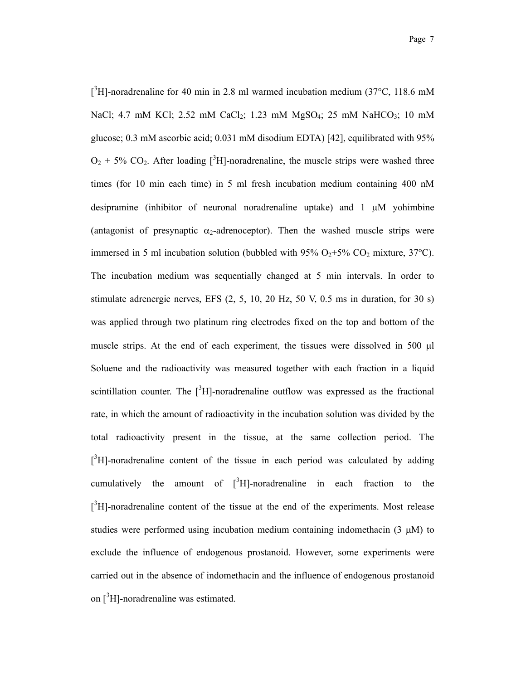$[3H]$ -noradrenaline for 40 min in 2.8 ml warmed incubation medium (37°C, 118.6 mM NaCl; 4.7 mM KCl; 2.52 mM CaCl<sub>2</sub>; 1.23 mM MgSO<sub>4</sub>; 25 mM NaHCO<sub>3</sub>; 10 mM glucose; 0.3 mM ascorbic acid; 0.031 mM disodium EDTA) [42], equilibrated with 95%  $O_2$  + 5% CO<sub>2</sub>. After loading [<sup>3</sup>H]-noradrenaline, the muscle strips were washed three times (for 10 min each time) in 5 ml fresh incubation medium containing 400 nM desipramine (inhibitor of neuronal noradrenaline uptake) and  $1 \mu M$  yohimbine (antagonist of presynaptic  $\alpha_2$ -adrenoceptor). Then the washed muscle strips were immersed in 5 ml incubation solution (bubbled with 95%  $O_2$ +5%  $CO_2$  mixture, 37°C). The incubation medium was sequentially changed at 5 min intervals. In order to stimulate adrenergic nerves, EFS  $(2, 5, 10, 20 \text{ Hz}, 50 \text{ V}, 0.5 \text{ ms}$  in duration, for 30 s) was applied through two platinum ring electrodes fixed on the top and bottom of the muscle strips. At the end of each experiment, the tissues were dissolved in 500  $\mu$ l Soluene and the radioactivity was measured together with each fraction in a liquid scintillation counter. The  $[3H]$ -noradrenaline outflow was expressed as the fractional rate, in which the amount of radioactivity in the incubation solution was divided by the total radioactivity present in the tissue, at the same collection period. The  $[3H]$ -noradrenaline content of the tissue in each period was calculated by adding cumulatively the amount of  $\int^3 H$ ]-noradrenaline in each fraction to the  $\int^3 H$ ]-noradrenaline content of the tissue at the end of the experiments. Most release studies were performed using incubation medium containing indomethacin  $(3 \mu M)$  to exclude the influence of endogenous prostanoid. However, some experiments were carried out in the absence of indomethacin and the influence of endogenous prostanoid on  $\int^3 H$ ]-noradrenaline was estimated.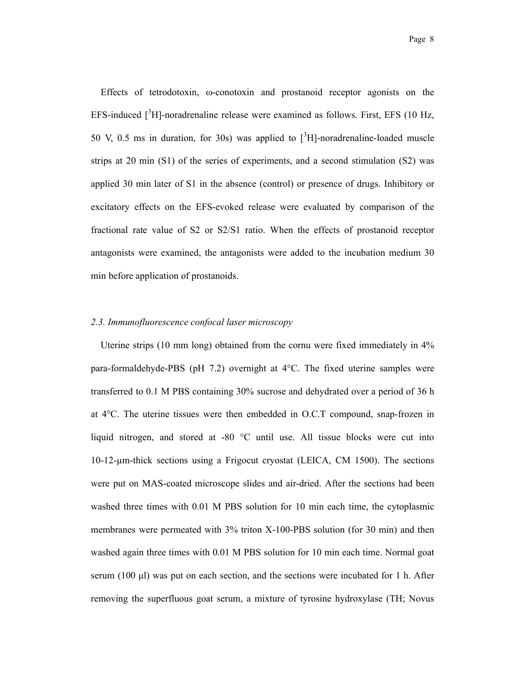Effects of tetrodotoxin,  $\omega$ -conotoxin and prostanoid receptor agonists on the EFS-induced  $[3H]$ -noradrenaline release were examined as follows. First, EFS (10 Hz, 50 V, 0.5 ms in duration, for 30s) was applied to  $\int^3 H$ -noradrenaline-loaded muscle strips at 20 min (S1) of the series of experiments, and a second stimulation (S2) was applied 30 min later of S1 in the absence (control) or presence of drugs. Inhibitory or excitatory effects on the EFS-evoked release were evaluated by comparison of the fractional rate value of S2 or S2/S1 ratio. When the effects of prostanoid receptor antagonists were examined, the antagonists were added to the incubation medium 30 min before application of prostanoids.

#### *2.3. Immunofluorescence confocal laser microscopy*

Uterine strips (10 mm long) obtained from the cornu were fixed immediately in 4% para-formaldehyde-PBS (pH 7.2) overnight at 4°C. The fixed uterine samples were transferred to 0.1 M PBS containing 30% sucrose and dehydrated over a period of 36 h at 4°C. The uterine tissues were then embedded in O.C.T compound, snap-frozen in liquid nitrogen, and stored at -80 °C until use. All tissue blocks were cut into 10-12-µm-thick sections using a Frigocut cryostat (LEICA, CM 1500). The sections were put on MAS-coated microscope slides and air-dried. After the sections had been washed three times with 0.01 M PBS solution for 10 min each time, the cytoplasmic membranes were permeated with 3% triton X-100-PBS solution (for 30 min) and then washed again three times with 0.01 M PBS solution for 10 min each time. Normal goat serum (100  $\mu$ ) was put on each section, and the sections were incubated for 1 h. After removing the superfluous goat serum, a mixture of tyrosine hydroxylase (TH; Novus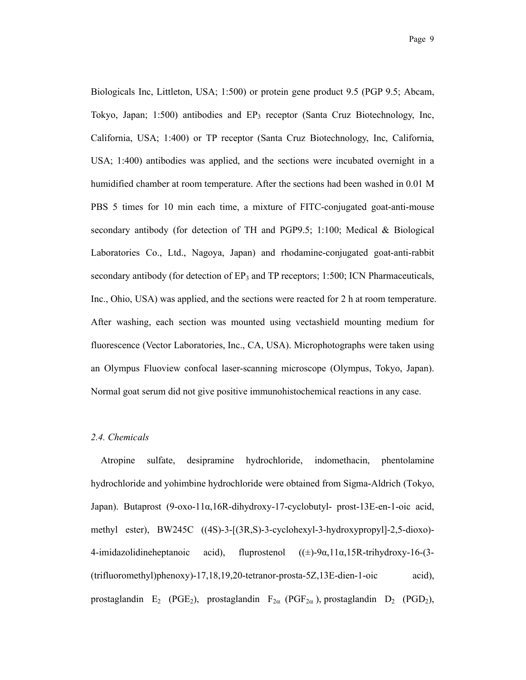Biologicals Inc, Littleton, USA; 1:500) or protein gene product 9.5 (PGP 9.5; Abcam, Tokyo, Japan;  $1:500$ ) antibodies and  $EP_3$  receptor (Santa Cruz Biotechnology, Inc, California, USA; 1:400) or TP receptor (Santa Cruz Biotechnology, Inc, California, USA; 1:400) antibodies was applied, and the sections were incubated overnight in a humidified chamber at room temperature. After the sections had been washed in 0.01 M PBS 5 times for 10 min each time, a mixture of FITC-conjugated goat-anti-mouse secondary antibody (for detection of TH and PGP9.5; 1:100; Medical & Biological Laboratories Co., Ltd., Nagoya, Japan) and rhodamine-conjugated goat-anti-rabbit secondary antibody (for detection of  $EP_3$  and TP receptors; 1:500; ICN Pharmaceuticals, Inc., Ohio, USA) was applied, and the sections were reacted for 2 h at room temperature. After washing, each section was mounted using vectashield mounting medium for fluorescence (Vector Laboratories, Inc., CA, USA). Microphotographs were taken using an Olympus Fluoview confocal laser-scanning microscope (Olympus, Tokyo, Japan). Normal goat serum did not give positive immunohistochemical reactions in any case.

#### *2.4. Chemicals*

 Atropine sulfate, desipramine hydrochloride, indomethacin, phentolamine hydrochloride and yohimbine hydrochloride were obtained from Sigma-Aldrich (Tokyo, Japan). Butaprost (9-oxo-11α,16R-dihydroxy-17-cyclobutyl- prost-13E-en-1-oic acid, methyl ester), BW245C ((4S)-3-[(3R,S)-3-cyclohexyl-3-hydroxypropyl]-2,5-dioxo)- 4-imidazolidineheptanoic acid), fluprostenol  $((\pm)$ -9 $\alpha$ ,11 $\alpha$ ,15R-trihydroxy-16-(3-(trifluoromethyl)phenoxy)-17,18,19,20-tetranor-prosta-5Z,13E-dien-1-oic acid), prostaglandin E<sub>2</sub> (PGE<sub>2</sub>), prostaglandin F<sub>2 $\alpha$ </sub> (PGF<sub>2 $\alpha$ </sub>), prostaglandin D<sub>2</sub> (PGD<sub>2</sub>),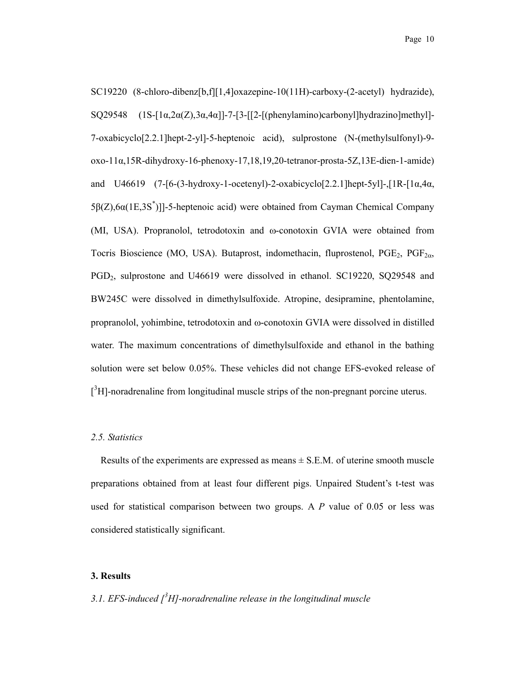SC19220 (8-chloro-dibenz[b,f][1,4]oxazepine-10(11H)-carboxy-(2-acetyl) hydrazide), SQ29548  $(1S-[1\alpha,2\alpha(Z),3\alpha,4\alpha)]-7-[3-[2-[(\text{phenylamino})\text{carbonyl}]\text{hydrazino}]\text{methyl}$ 7-oxabicyclo[2.2.1]hept-2-yl]-5-heptenoic acid), sulprostone (N-(methylsulfonyl)-9 oxo-11α,15R-dihydroxy-16-phenoxy-17,18,19,20-tetranor-prosta-5Z,13E-dien-1-amide) and U46619 (7-[6-(3-hydroxy-1-ocetenyl)-2-oxabicyclo[2.2.1]hept-5yl]-,[1R-[1α,4α, 5β(Z),  $6\alpha(1E,3S^*)$ ]]-5-heptenoic acid) were obtained from Cayman Chemical Company (MI, USA). Propranolol, tetrodotoxin and  $\omega$ -conotoxin GVIA were obtained from Tocris Bioscience (MO, USA). Butaprost, indomethacin, fluprostenol,  $PGE_2$ ,  $PGF_{2\alpha}$ , PGD2, sulprostone and U46619 were dissolved in ethanol. SC19220, SQ29548 and BW245C were dissolved in dimethylsulfoxide. Atropine, desipramine, phentolamine, propranolol, yohimbine, tetrodotoxin and  $\omega$ -conotoxin GVIA were dissolved in distilled water. The maximum concentrations of dimethylsulfoxide and ethanol in the bathing solution were set below 0.05%. These vehicles did not change EFS-evoked release of  $[$ <sup>3</sup>H]-noradrenaline from longitudinal muscle strips of the non-pregnant porcine uterus.

#### *2.5. Statistics*

Results of the experiments are expressed as means  $\pm$  S.E.M. of uterine smooth muscle preparations obtained from at least four different pigs. Unpaired Student's t-test was used for statistical comparison between two groups. A *P* value of 0.05 or less was considered statistically significant.

## **3. Results**

# *3.1. EFS-induced [<sup>3</sup> H]-noradrenaline release in the longitudinal muscle*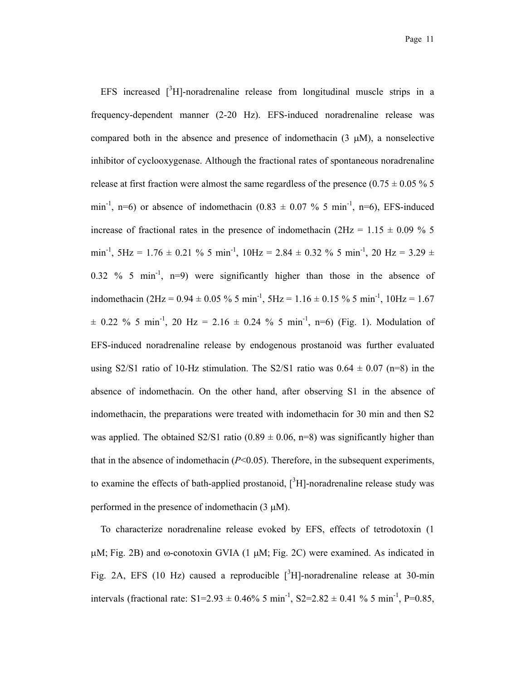EFS increased  $\int_0^3 H$ ]-noradrenaline release from longitudinal muscle strips in a frequency-dependent manner (2-20 Hz). EFS-induced noradrenaline release was compared both in the absence and presence of indomethacin  $(3 \mu M)$ , a nonselective inhibitor of cyclooxygenase. Although the fractional rates of spontaneous noradrenaline release at first fraction were almost the same regardless of the presence (0.75  $\pm$  0.05 % 5 min<sup>-1</sup>, n=6) or absence of indomethacin (0.83  $\pm$  0.07 % 5 min<sup>-1</sup>, n=6), EFS-induced increase of fractional rates in the presence of indomethacin ( $2Hz = 1.15 \pm 0.09$  % 5 min<sup>-1</sup>, 5Hz = 1.76  $\pm$  0.21 % 5 min<sup>-1</sup>, 10Hz = 2.84  $\pm$  0.32 % 5 min<sup>-1</sup>, 20 Hz = 3.29  $\pm$ 0.32 % 5 min<sup>-1</sup>, n=9) were significantly higher than those in the absence of indomethacin (2Hz =  $0.94 \pm 0.05$  % 5 min<sup>-1</sup>, 5Hz =  $1.16 \pm 0.15$  % 5 min<sup>-1</sup>, 10Hz =  $1.67$  $\pm$  0.22 % 5 min<sup>-1</sup>, 20 Hz = 2.16  $\pm$  0.24 % 5 min<sup>-1</sup>, n=6) (Fig. 1). Modulation of EFS-induced noradrenaline release by endogenous prostanoid was further evaluated using S2/S1 ratio of 10-Hz stimulation. The S2/S1 ratio was  $0.64 \pm 0.07$  (n=8) in the absence of indomethacin. On the other hand, after observing S1 in the absence of indomethacin, the preparations were treated with indomethacin for 30 min and then S2 was applied. The obtained S2/S1 ratio (0.89  $\pm$  0.06, n=8) was significantly higher than that in the absence of indomethacin  $(P<0.05)$ . Therefore, in the subsequent experiments, to examine the effects of bath-applied prostanoid,  $[3H]$ -noradrenaline release study was performed in the presence of indomethacin  $(3 \mu M)$ .

To characterize noradrenaline release evoked by EFS, effects of tetrodotoxin (1  $\mu$ M; Fig. 2B) and  $\omega$ -conotoxin GVIA (1  $\mu$ M; Fig. 2C) were examined. As indicated in Fig. 2A, EFS (10 Hz) caused a reproducible  $[3H]$ -noradrenaline release at 30-min intervals (fractional rate:  $S1=2.93 \pm 0.46\%$  5 min<sup>-1</sup>,  $S2=2.82 \pm 0.41\%$  5 min<sup>-1</sup>, P=0.85,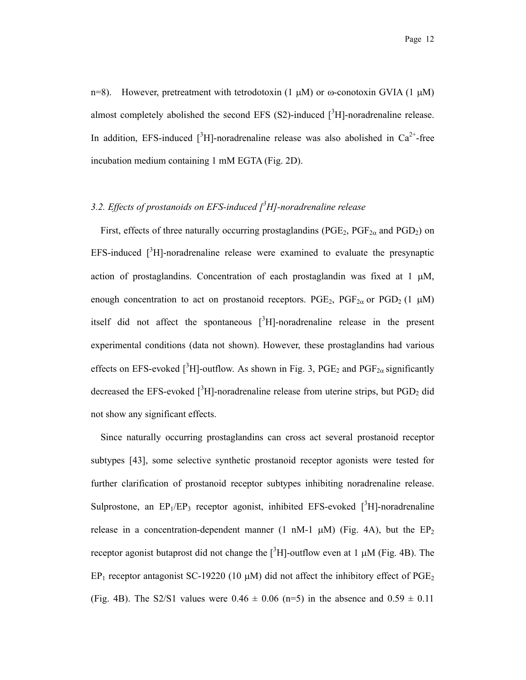n=8). However, pretreatment with tetrodotoxin (1  $\mu$ M) or  $\omega$ -conotoxin GVIA (1  $\mu$ M) almost completely abolished the second EFS  $(S2)$ -induced  $[^{3}H]$ -noradrenaline release. In addition, EFS-induced  $\int^3 H$ ]-noradrenaline release was also abolished in Ca<sup>2+</sup>-free incubation medium containing 1 mM EGTA (Fig. 2D).

# *3.2. Effects of prostanoids on EFS-induced [3 H]-noradrenaline release*

First, effects of three naturally occurring prostaglandins ( $PGE_2$ ,  $PGF_{2\alpha}$  and  $PGD_2$ ) on EFS-induced  $\int_0^3 H$ ]-noradrenaline release were examined to evaluate the presynaptic action of prostaglandins. Concentration of each prostaglandin was fixed at  $1 \mu M$ , enough concentration to act on prostanoid receptors. PGE<sub>2</sub>, PGF<sub>2 $\alpha$ </sub> or PGD<sub>2</sub> (1  $\mu$ M) itself did not affect the spontaneous  $[3H]$ -noradrenaline release in the present experimental conditions (data not shown). However, these prostaglandins had various effects on EFS-evoked [ ${}^{3}H$ ]-outflow. As shown in Fig. 3, PGE<sub>2</sub> and PGF<sub>2 $\alpha$ </sub> significantly decreased the EFS-evoked  $[{}^{3}H]$ -noradrenaline release from uterine strips, but PGD<sub>2</sub> did not show any significant effects.

Since naturally occurring prostaglandins can cross act several prostanoid receptor subtypes [43], some selective synthetic prostanoid receptor agonists were tested for further clarification of prostanoid receptor subtypes inhibiting noradrenaline release. Sulprostone, an  $EP_1/EP_3$  receptor agonist, inhibited EFS-evoked  $[^3H]$ -noradrenaline release in a concentration-dependent manner (1 nM-1  $\mu$ M) (Fig. 4A), but the EP<sub>2</sub> receptor agonist butaprost did not change the  $[{}^{3}H]$ -outflow even at 1  $\mu$ M (Fig. 4B). The  $EP_1$  receptor antagonist SC-19220 (10  $\mu$ M) did not affect the inhibitory effect of PGE<sub>2</sub> (Fig. 4B). The S2/S1 values were  $0.46 \pm 0.06$  (n=5) in the absence and  $0.59 \pm 0.11$ 

Page 12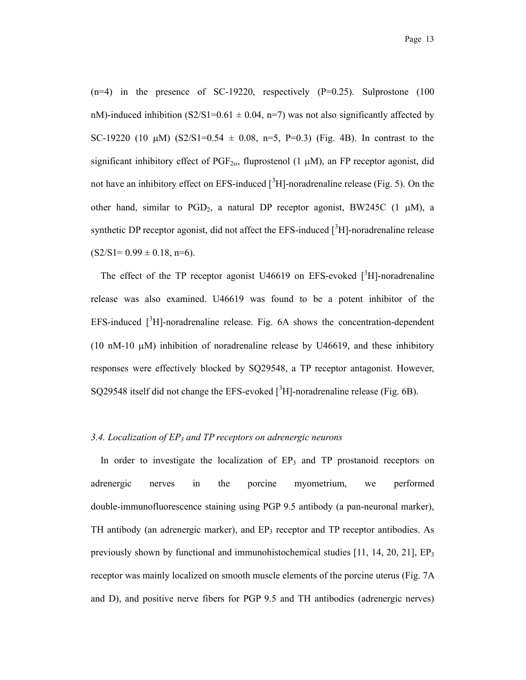$(n=4)$  in the presence of SC-19220, respectively  $(P=0.25)$ . Sulprostone (100) nM)-induced inhibition  $(S2/S1=0.61 \pm 0.04, n=7)$  was not also significantly affected by SC-19220 (10  $\mu$ M) (S2/S1=0.54  $\pm$  0.08, n=5, P=0.3) (Fig. 4B). In contrast to the significant inhibitory effect of  $PGF_{2\alpha}$ , fluprostenol (1  $\mu$ M), an FP receptor agonist, did not have an inhibitory effect on EFS-induced  $\int^3 H$ ]-noradrenaline release (Fig. 5). On the other hand, similar to  $PGD_2$ , a natural DP receptor agonist, BW245C (1  $\mu$ M), a synthetic DP receptor agonist, did not affect the EFS-induced  $[^3H]$ -noradrenaline release  $(S2/S1=0.99 \pm 0.18, n=6)$ .

The effect of the TP receptor agonist U46619 on EFS-evoked  $[^{3}H]$ -noradrenaline release was also examined. U46619 was found to be a potent inhibitor of the EFS-induced  $[3H]$ -noradrenaline release. Fig. 6A shows the concentration-dependent (10 nM-10  $\mu$ M) inhibition of noradrenaline release by U46619, and these inhibitory responses were effectively blocked by SQ29548, a TP receptor antagonist. However, SQ29548 itself did not change the EFS-evoked  $[{}^{3}H]$ -noradrenaline release (Fig. 6B).

#### *3.4. Localization of EP3 and TP receptors on adrenergic neurons*

In order to investigate the localization of  $EP_3$  and TP prostanoid receptors on adrenergic nerves in the porcine myometrium, we performed double-immunofluorescence staining using PGP 9.5 antibody (a pan-neuronal marker), TH antibody (an adrenergic marker), and  $EP_3$  receptor and TP receptor antibodies. As previously shown by functional and immunohistochemical studies [11, 14, 20, 21],  $EP_3$ receptor was mainly localized on smooth muscle elements of the porcine uterus (Fig. 7A and D), and positive nerve fibers for PGP 9.5 and TH antibodies (adrenergic nerves)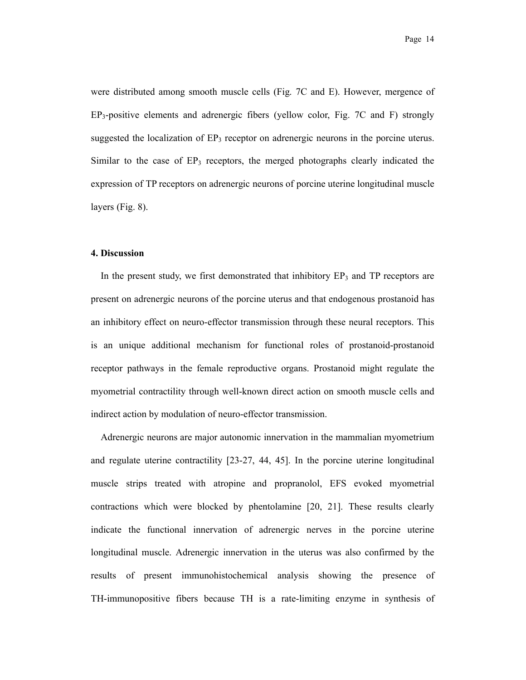were distributed among smooth muscle cells (Fig. 7C and E). However, mergence of  $EP_3$ -positive elements and adrenergic fibers (yellow color, Fig. 7C and F) strongly suggested the localization of  $EP_3$  receptor on adrenergic neurons in the porcine uterus. Similar to the case of  $EP_3$  receptors, the merged photographs clearly indicated the expression of TP receptors on adrenergic neurons of porcine uterine longitudinal muscle layers (Fig. 8).

#### **4. Discussion**

In the present study, we first demonstrated that inhibitory  $EP_3$  and TP receptors are present on adrenergic neurons of the porcine uterus and that endogenous prostanoid has an inhibitory effect on neuro-effector transmission through these neural receptors. This is an unique additional mechanism for functional roles of prostanoid-prostanoid receptor pathways in the female reproductive organs. Prostanoid might regulate the myometrial contractility through well-known direct action on smooth muscle cells and indirect action by modulation of neuro-effector transmission.

 Adrenergic neurons are major autonomic innervation in the mammalian myometrium and regulate uterine contractility [23-27, 44, 45]. In the porcine uterine longitudinal muscle strips treated with atropine and propranolol, EFS evoked myometrial contractions which were blocked by phentolamine [20, 21]. These results clearly indicate the functional innervation of adrenergic nerves in the porcine uterine longitudinal muscle. Adrenergic innervation in the uterus was also confirmed by the results of present immunohistochemical analysis showing the presence of TH-immunopositive fibers because TH is a rate-limiting enzyme in synthesis of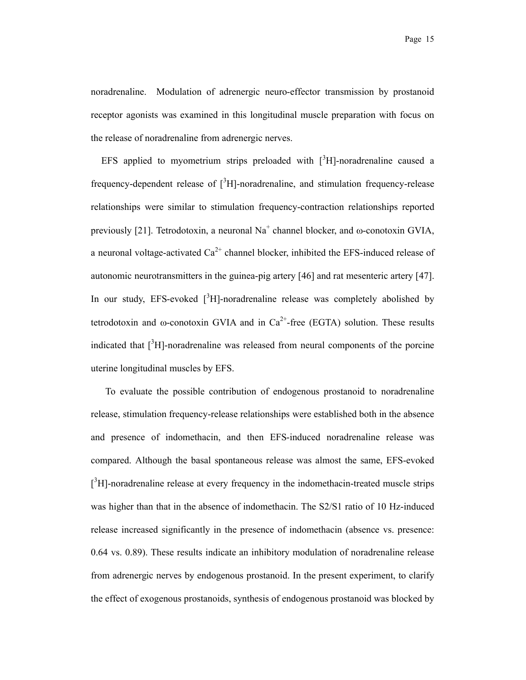noradrenaline. Modulation of adrenergic neuro-effector transmission by prostanoid receptor agonists was examined in this longitudinal muscle preparation with focus on the release of noradrenaline from adrenergic nerves.

EFS applied to myometrium strips preloaded with  $[3H]$ -noradrenaline caused a frequency-dependent release of  $\int^3 H$ -noradrenaline, and stimulation frequency-release relationships were similar to stimulation frequency-contraction relationships reported previously [21]. Tetrodotoxin, a neuronal  $Na<sup>+</sup>$  channel blocker, and  $\omega$ -conotoxin GVIA, a neuronal voltage-activated  $Ca^{2+}$  channel blocker, inhibited the EFS-induced release of autonomic neurotransmitters in the guinea-pig artery [46] and rat mesenteric artery [47]. In our study, EFS-evoked  $\int^3 H$ ]-noradrenaline release was completely abolished by tetrodotoxin and  $\omega$ -conotoxin GVIA and in Ca<sup>2+</sup>-free (EGTA) solution. These results indicated that  $\int^3 H$ ]-noradrenaline was released from neural components of the porcine uterine longitudinal muscles by EFS.

To evaluate the possible contribution of endogenous prostanoid to noradrenaline release, stimulation frequency-release relationships were established both in the absence and presence of indomethacin, and then EFS-induced noradrenaline release was compared. Although the basal spontaneous release was almost the same, EFS-evoked  $\int^3 H$ ]-noradrenaline release at every frequency in the indomethacin-treated muscle strips was higher than that in the absence of indomethacin. The S2/S1 ratio of 10 Hz-induced release increased significantly in the presence of indomethacin (absence vs. presence: 0.64 vs. 0.89). These results indicate an inhibitory modulation of noradrenaline release from adrenergic nerves by endogenous prostanoid. In the present experiment, to clarify the effect of exogenous prostanoids, synthesis of endogenous prostanoid was blocked by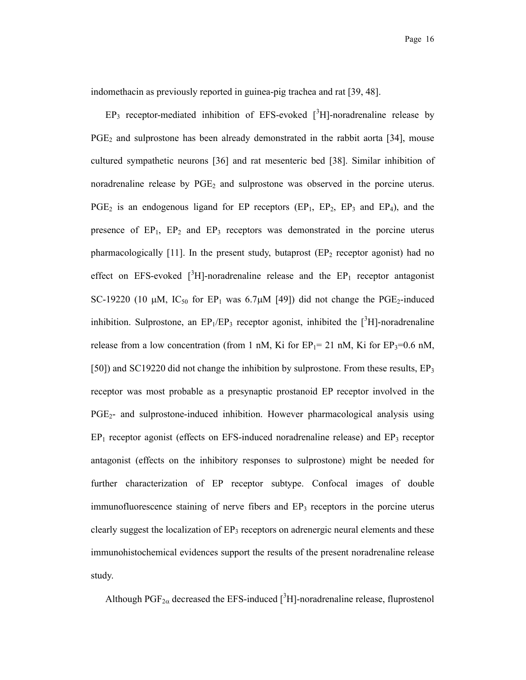indomethacin as previously reported in guinea-pig trachea and rat [39, 48].

 $EP_3$  receptor-mediated inhibition of EFS-evoked  $[^3H]$ -noradrenaline release by  $PGE<sub>2</sub>$  and sulprostone has been already demonstrated in the rabbit aorta [34], mouse cultured sympathetic neurons [36] and rat mesenteric bed [38]. Similar inhibition of noradrenaline release by  $PGE_2$  and sulprostone was observed in the porcine uterus.  $PGE_2$  is an endogenous ligand for EP receptors  $(EP_1, EP_2, EP_3, and EP_4)$ , and the presence of  $EP_1$ ,  $EP_2$  and  $EP_3$  receptors was demonstrated in the porcine uterus pharmacologically  $[11]$ . In the present study, butaprost  $(EP<sub>2</sub>$  receptor agonist) had no effect on EFS-evoked  $[^{3}H]$ -noradrenaline release and the EP<sub>1</sub> receptor antagonist SC-19220 (10  $\mu$ M, IC<sub>50</sub> for EP<sub>1</sub> was 6.7 $\mu$ M [49]) did not change the PGE<sub>2</sub>-induced inhibition. Sulprostone, an  $EP_1/EP_3$  receptor agonist, inhibited the  $[^3H]$ -noradrenaline release from a low concentration (from 1 nM, Ki for  $EP_1 = 21$  nM, Ki for  $EP_3 = 0.6$  nM, [50]) and SC19220 did not change the inhibition by sulprostone. From these results, EP<sub>3</sub> receptor was most probable as a presynaptic prostanoid EP receptor involved in the PGE2- and sulprostone-induced inhibition. However pharmacological analysis using  $EP_1$  receptor agonist (effects on EFS-induced noradrenaline release) and  $EP_3$  receptor antagonist (effects on the inhibitory responses to sulprostone) might be needed for further characterization of EP receptor subtype. Confocal images of double immunofluorescence staining of nerve fibers and  $EP_3$  receptors in the porcine uterus clearly suggest the localization of  $EP_3$  receptors on adrenergic neural elements and these immunohistochemical evidences support the results of the present noradrenaline release study.

Although PGF<sub>2 $\alpha$ </sub> decreased the EFS-induced [<sup>3</sup>H]-noradrenaline release, fluprostenol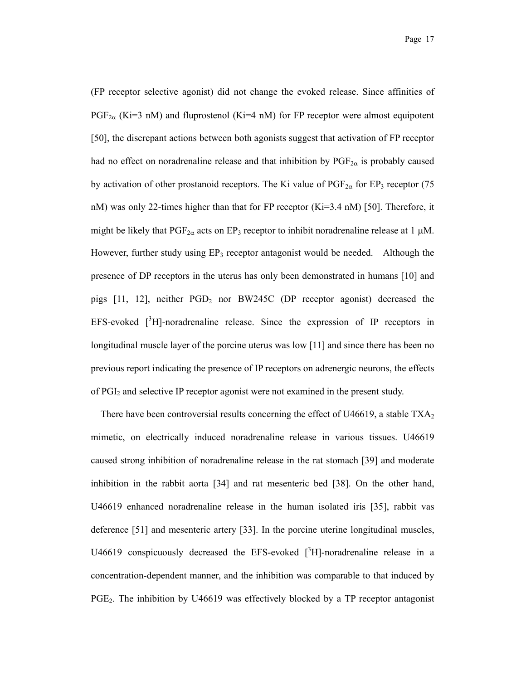(FP receptor selective agonist) did not change the evoked release. Since affinities of  $PGF_{2\alpha}$  (Ki=3 nM) and fluprostenol (Ki=4 nM) for FP receptor were almost equipotent [50], the discrepant actions between both agonists suggest that activation of FP receptor had no effect on noradrenaline release and that inhibition by  $PGF_{2\alpha}$  is probably caused by activation of other prostanoid receptors. The Ki value of  $PGF_{2\alpha}$  for EP<sub>3</sub> receptor (75 nM) was only 22-times higher than that for FP receptor  $(Ki=3.4 \text{ nM})$  [50]. Therefore, it might be likely that  $PGF_{2\alpha}$  acts on EP<sub>3</sub> receptor to inhibit noradrenaline release at 1  $\mu$ M. However, further study using  $EP_3$  receptor antagonist would be needed. Although the presence of DP receptors in the uterus has only been demonstrated in humans [10] and pigs  $[11, 12]$ , neither PGD<sub>2</sub> nor BW245C (DP receptor agonist) decreased the EFS-evoked  $[3H]$ -noradrenaline release. Since the expression of IP receptors in longitudinal muscle layer of the porcine uterus was low [11] and since there has been no previous report indicating the presence of IP receptors on adrenergic neurons, the effects of PGI2 and selective IP receptor agonist were not examined in the present study.

There have been controversial results concerning the effect of U46619, a stable  $TXA<sub>2</sub>$ mimetic, on electrically induced noradrenaline release in various tissues. U46619 caused strong inhibition of noradrenaline release in the rat stomach [39] and moderate inhibition in the rabbit aorta [34] and rat mesenteric bed [38]. On the other hand, U46619 enhanced noradrenaline release in the human isolated iris [35], rabbit vas deference [51] and mesenteric artery [33]. In the porcine uterine longitudinal muscles, U46619 conspicuously decreased the EFS-evoked  $\int^3 H$ ]-noradrenaline release in a concentration-dependent manner, and the inhibition was comparable to that induced by PGE<sub>2</sub>. The inhibition by U46619 was effectively blocked by a TP receptor antagonist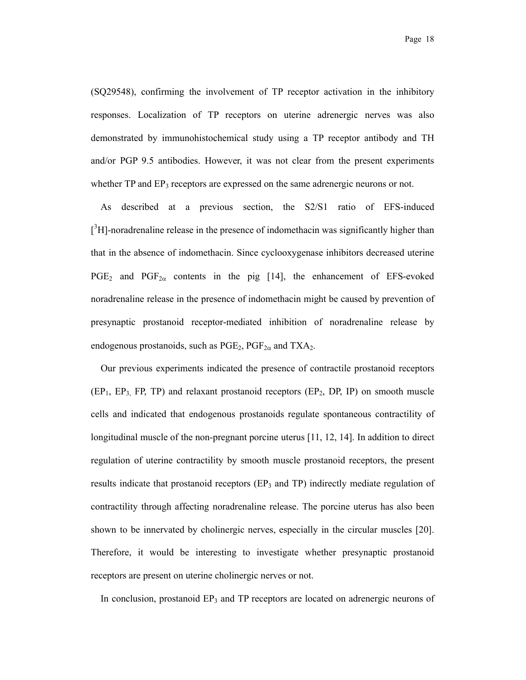(SQ29548), confirming the involvement of TP receptor activation in the inhibitory responses. Localization of TP receptors on uterine adrenergic nerves was also demonstrated by immunohistochemical study using a TP receptor antibody and TH and/or PGP 9.5 antibodies. However, it was not clear from the present experiments whether TP and EP<sub>3</sub> receptors are expressed on the same adrenergic neurons or not.

As described at a previous section, the S2/S1 ratio of EFS-induced  $[$ <sup>3</sup>H]-noradrenaline release in the presence of indomethacin was significantly higher than that in the absence of indomethacin. Since cyclooxygenase inhibitors decreased uterine  $PGE_2$  and  $PGF_{2\alpha}$  contents in the pig [14], the enhancement of EFS-evoked noradrenaline release in the presence of indomethacin might be caused by prevention of presynaptic prostanoid receptor-mediated inhibition of noradrenaline release by endogenous prostanoids, such as  $PGE_2$ ,  $PGF_{2\alpha}$  and  $TXA_2$ .

Our previous experiments indicated the presence of contractile prostanoid receptors  $(EP_1, EP_3, FP, TP)$  and relaxant prostanoid receptors  $(EP_2, DP, IP)$  on smooth muscle cells and indicated that endogenous prostanoids regulate spontaneous contractility of longitudinal muscle of the non-pregnant porcine uterus [11, 12, 14]. In addition to direct regulation of uterine contractility by smooth muscle prostanoid receptors, the present results indicate that prostanoid receptors ( $EP<sub>3</sub>$  and TP) indirectly mediate regulation of contractility through affecting noradrenaline release. The porcine uterus has also been shown to be innervated by cholinergic nerves, especially in the circular muscles [20]. Therefore, it would be interesting to investigate whether presynaptic prostanoid receptors are present on uterine cholinergic nerves or not.

In conclusion, prostanoid EP<sub>3</sub> and TP receptors are located on adrenergic neurons of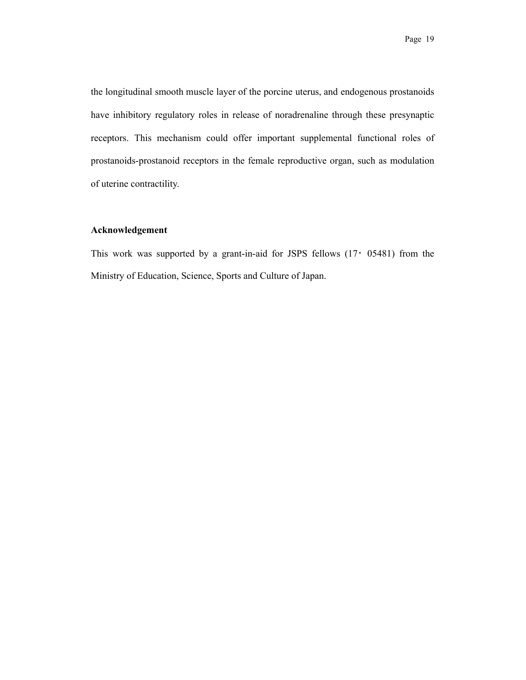the longitudinal smooth muscle layer of the porcine uterus, and endogenous prostanoids have inhibitory regulatory roles in release of noradrenaline through these presynaptic receptors. This mechanism could offer important supplemental functional roles of prostanoids-prostanoid receptors in the female reproductive organ, such as modulation of uterine contractility.

### **Acknowledgement**

This work was supported by a grant-in-aid for JSPS fellows  $(17 \cdot 05481)$  from the Ministry of Education, Science, Sports and Culture of Japan.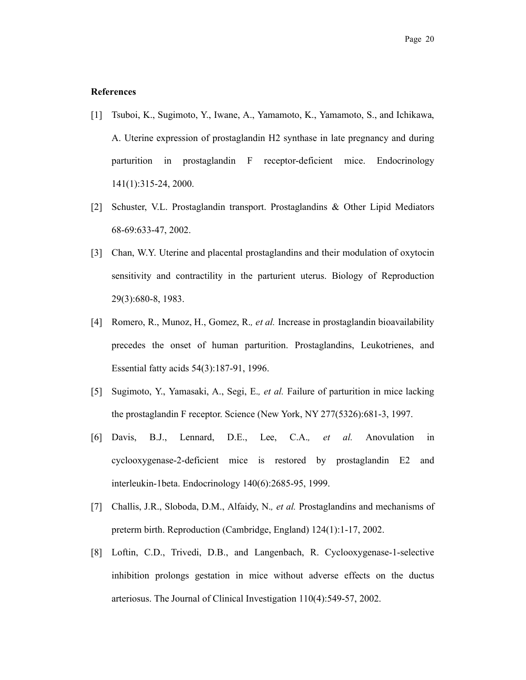#### **References**

- [1] Tsuboi, K., Sugimoto, Y., Iwane, A., Yamamoto, K., Yamamoto, S., and Ichikawa, A. Uterine expression of prostaglandin H2 synthase in late pregnancy and during parturition in prostaglandin F receptor-deficient mice. Endocrinology 141(1):315-24, 2000.
- [2] Schuster, V.L. Prostaglandin transport. Prostaglandins & Other Lipid Mediators 68-69:633-47, 2002.
- [3] Chan, W.Y. Uterine and placental prostaglandins and their modulation of oxytocin sensitivity and contractility in the parturient uterus. Biology of Reproduction 29(3):680-8, 1983.
- [4] Romero, R., Munoz, H., Gomez, R.*, et al.* Increase in prostaglandin bioavailability precedes the onset of human parturition. Prostaglandins, Leukotrienes, and Essential fatty acids 54(3):187-91, 1996.
- [5] Sugimoto, Y., Yamasaki, A., Segi, E.*, et al.* Failure of parturition in mice lacking the prostaglandin F receptor. Science (New York, NY 277(5326):681-3, 1997.
- [6] Davis, B.J., Lennard, D.E., Lee, C.A.*, et al.* Anovulation in cyclooxygenase-2-deficient mice is restored by prostaglandin E2 and interleukin-1beta. Endocrinology 140(6):2685-95, 1999.
- [7] Challis, J.R., Sloboda, D.M., Alfaidy, N.*, et al.* Prostaglandins and mechanisms of preterm birth. Reproduction (Cambridge, England) 124(1):1-17, 2002.
- [8] Loftin, C.D., Trivedi, D.B., and Langenbach, R. Cyclooxygenase-1-selective inhibition prolongs gestation in mice without adverse effects on the ductus arteriosus. The Journal of Clinical Investigation 110(4):549-57, 2002.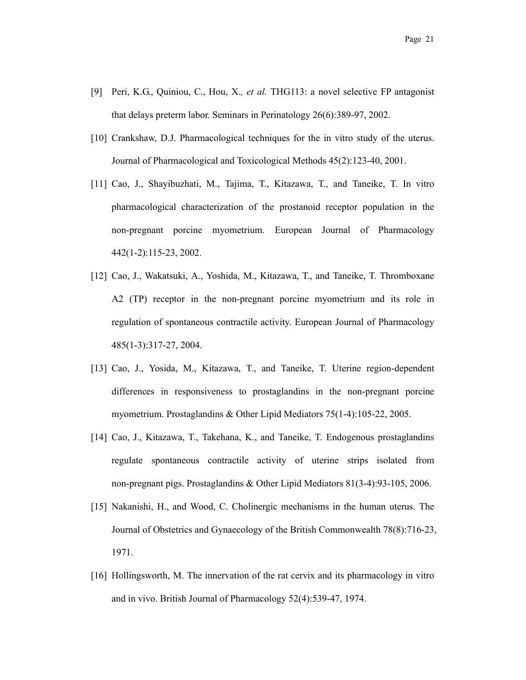- [9] Peri, K.G., Quiniou, C., Hou, X.*, et al.* THG113: a novel selective FP antagonist that delays preterm labor. Seminars in Perinatology 26(6):389-97, 2002.
- [10] Crankshaw, D.J. Pharmacological techniques for the in vitro study of the uterus. Journal of Pharmacological and Toxicological Methods 45(2):123-40, 2001.
- [11] Cao, J., Shayibuzhati, M., Tajima, T., Kitazawa, T., and Taneike, T. In vitro pharmacological characterization of the prostanoid receptor population in the non-pregnant porcine myometrium. European Journal of Pharmacology 442(1-2):115-23, 2002.
- [12] Cao, J., Wakatsuki, A., Yoshida, M., Kitazawa, T., and Taneike, T. Thromboxane A2 (TP) receptor in the non-pregnant porcine myometrium and its role in regulation of spontaneous contractile activity. European Journal of Pharmacology 485(1-3):317-27, 2004.
- [13] Cao, J., Yosida, M., Kitazawa, T., and Taneike, T. Uterine region-dependent differences in responsiveness to prostaglandins in the non-pregnant porcine myometrium. Prostaglandins & Other Lipid Mediators 75(1-4):105-22, 2005.
- [14] Cao, J., Kitazawa, T., Takehana, K., and Taneike, T. Endogenous prostaglandins regulate spontaneous contractile activity of uterine strips isolated from non-pregnant pigs. Prostaglandins & Other Lipid Mediators 81(3-4):93-105, 2006.
- [15] Nakanishi, H., and Wood, C. Cholinergic mechanisms in the human uterus. The Journal of Obstetrics and Gynaecology of the British Commonwealth 78(8):716-23, 1971.
- [16] Hollingsworth, M. The innervation of the rat cervix and its pharmacology in vitro and in vivo. British Journal of Pharmacology 52(4):539-47, 1974.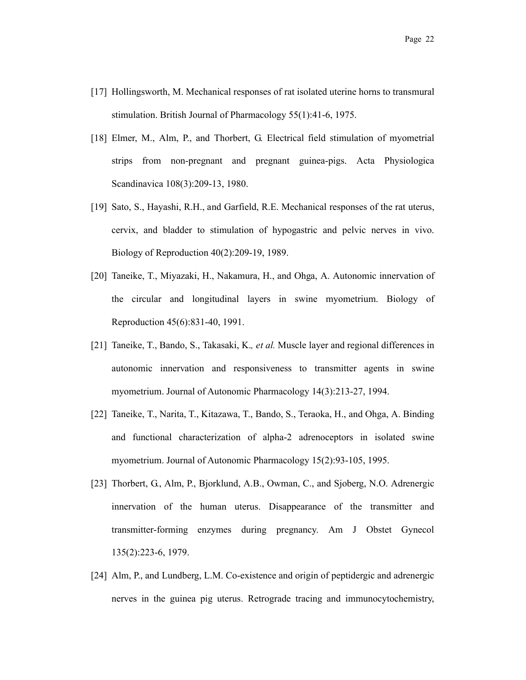- [17] Hollingsworth, M. Mechanical responses of rat isolated uterine horns to transmural stimulation. British Journal of Pharmacology 55(1):41-6, 1975.
- [18] Elmer, M., Alm, P., and Thorbert, G. Electrical field stimulation of myometrial strips from non-pregnant and pregnant guinea-pigs. Acta Physiologica Scandinavica 108(3):209-13, 1980.
- [19] Sato, S., Hayashi, R.H., and Garfield, R.E. Mechanical responses of the rat uterus, cervix, and bladder to stimulation of hypogastric and pelvic nerves in vivo. Biology of Reproduction 40(2):209-19, 1989.
- [20] Taneike, T., Miyazaki, H., Nakamura, H., and Ohga, A. Autonomic innervation of the circular and longitudinal layers in swine myometrium. Biology of Reproduction 45(6):831-40, 1991.
- [21] Taneike, T., Bando, S., Takasaki, K.*, et al.* Muscle layer and regional differences in autonomic innervation and responsiveness to transmitter agents in swine myometrium. Journal of Autonomic Pharmacology 14(3):213-27, 1994.
- [22] Taneike, T., Narita, T., Kitazawa, T., Bando, S., Teraoka, H., and Ohga, A. Binding and functional characterization of alpha-2 adrenoceptors in isolated swine myometrium. Journal of Autonomic Pharmacology 15(2):93-105, 1995.
- [23] Thorbert, G., Alm, P., Bjorklund, A.B., Owman, C., and Sjoberg, N.O. Adrenergic innervation of the human uterus. Disappearance of the transmitter and transmitter-forming enzymes during pregnancy. Am J Obstet Gynecol 135(2):223-6, 1979.
- [24] Alm, P., and Lundberg, L.M. Co-existence and origin of peptidergic and adrenergic nerves in the guinea pig uterus. Retrograde tracing and immunocytochemistry,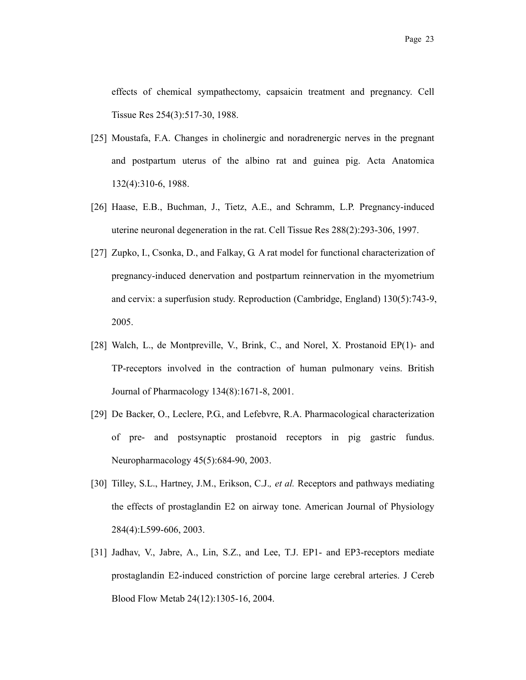effects of chemical sympathectomy, capsaicin treatment and pregnancy. Cell Tissue Res 254(3):517-30, 1988.

- [25] Moustafa, F.A. Changes in cholinergic and noradrenergic nerves in the pregnant and postpartum uterus of the albino rat and guinea pig. Acta Anatomica 132(4):310-6, 1988.
- [26] Haase, E.B., Buchman, J., Tietz, A.E., and Schramm, L.P. Pregnancy-induced uterine neuronal degeneration in the rat. Cell Tissue Res 288(2):293-306, 1997.
- [27] Zupko, I., Csonka, D., and Falkay, G. A rat model for functional characterization of pregnancy-induced denervation and postpartum reinnervation in the myometrium and cervix: a superfusion study. Reproduction (Cambridge, England) 130(5):743-9, 2005.
- [28] Walch, L., de Montpreville, V., Brink, C., and Norel, X. Prostanoid EP(1)- and TP-receptors involved in the contraction of human pulmonary veins. British Journal of Pharmacology 134(8):1671-8, 2001.
- [29] De Backer, O., Leclere, P.G., and Lefebvre, R.A. Pharmacological characterization of pre- and postsynaptic prostanoid receptors in pig gastric fundus. Neuropharmacology 45(5):684-90, 2003.
- [30] Tilley, S.L., Hartney, J.M., Erikson, C.J.*, et al.* Receptors and pathways mediating the effects of prostaglandin E2 on airway tone. American Journal of Physiology 284(4):L599-606, 2003.
- [31] Jadhav, V., Jabre, A., Lin, S.Z., and Lee, T.J. EP1- and EP3-receptors mediate prostaglandin E2-induced constriction of porcine large cerebral arteries. J Cereb Blood Flow Metab 24(12):1305-16, 2004.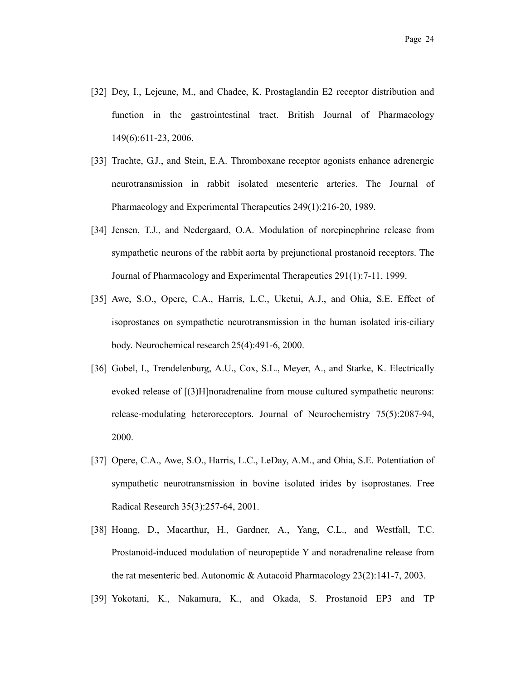- [32] Dey, I., Lejeune, M., and Chadee, K. Prostaglandin E2 receptor distribution and function in the gastrointestinal tract. British Journal of Pharmacology 149(6):611-23, 2006.
- [33] Trachte, G.J., and Stein, E.A. Thromboxane receptor agonists enhance adrenergic neurotransmission in rabbit isolated mesenteric arteries. The Journal of Pharmacology and Experimental Therapeutics 249(1):216-20, 1989.
- [34] Jensen, T.J., and Nedergaard, O.A. Modulation of norepinephrine release from sympathetic neurons of the rabbit aorta by prejunctional prostanoid receptors. The Journal of Pharmacology and Experimental Therapeutics 291(1):7-11, 1999.
- [35] Awe, S.O., Opere, C.A., Harris, L.C., Uketui, A.J., and Ohia, S.E. Effect of isoprostanes on sympathetic neurotransmission in the human isolated iris-ciliary body. Neurochemical research 25(4):491-6, 2000.
- [36] Gobel, I., Trendelenburg, A.U., Cox, S.L., Meyer, A., and Starke, K. Electrically evoked release of [(3)H]noradrenaline from mouse cultured sympathetic neurons: release-modulating heteroreceptors. Journal of Neurochemistry 75(5):2087-94, 2000.
- [37] Opere, C.A., Awe, S.O., Harris, L.C., LeDay, A.M., and Ohia, S.E. Potentiation of sympathetic neurotransmission in bovine isolated irides by isoprostanes. Free Radical Research 35(3):257-64, 2001.
- [38] Hoang, D., Macarthur, H., Gardner, A., Yang, C.L., and Westfall, T.C. Prostanoid-induced modulation of neuropeptide Y and noradrenaline release from the rat mesenteric bed. Autonomic & Autacoid Pharmacology 23(2):141-7, 2003.
- [39] Yokotani, K., Nakamura, K., and Okada, S. Prostanoid EP3 and TP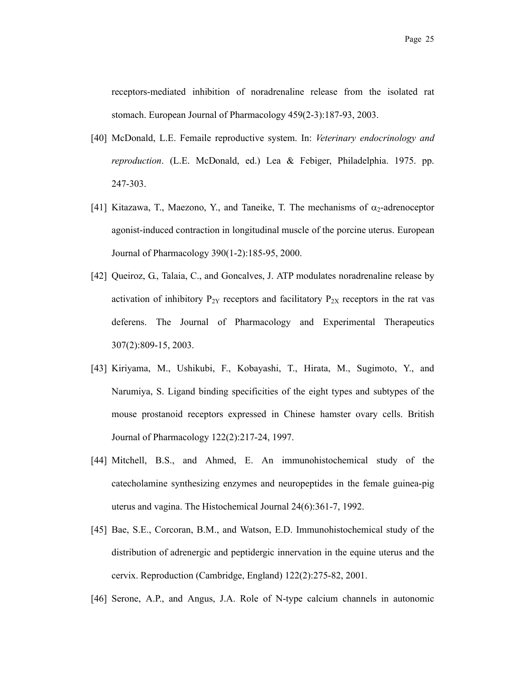receptors-mediated inhibition of noradrenaline release from the isolated rat stomach. European Journal of Pharmacology 459(2-3):187-93, 2003.

- [40] McDonald, L.E. Femaile reproductive system. In: *Veterinary endocrinology and reproduction*. (L.E. McDonald, ed.) Lea & Febiger, Philadelphia. 1975. pp. 247-303.
- [41] Kitazawa, T., Maezono, Y., and Taneike, T. The mechanisms of  $\alpha_2$ -adrenoceptor agonist-induced contraction in longitudinal muscle of the porcine uterus. European Journal of Pharmacology 390(1-2):185-95, 2000.
- [42] Queiroz, G., Talaia, C., and Goncalves, J. ATP modulates noradrenaline release by activation of inhibitory  $P_{2Y}$  receptors and facilitatory  $P_{2X}$  receptors in the rat vas deferens. The Journal of Pharmacology and Experimental Therapeutics 307(2):809-15, 2003.
- [43] Kiriyama, M., Ushikubi, F., Kobayashi, T., Hirata, M., Sugimoto, Y., and Narumiya, S. Ligand binding specificities of the eight types and subtypes of the mouse prostanoid receptors expressed in Chinese hamster ovary cells. British Journal of Pharmacology 122(2):217-24, 1997.
- [44] Mitchell, B.S., and Ahmed, E. An immunohistochemical study of the catecholamine synthesizing enzymes and neuropeptides in the female guinea-pig uterus and vagina. The Histochemical Journal 24(6):361-7, 1992.
- [45] Bae, S.E., Corcoran, B.M., and Watson, E.D. Immunohistochemical study of the distribution of adrenergic and peptidergic innervation in the equine uterus and the cervix. Reproduction (Cambridge, England) 122(2):275-82, 2001.
- [46] Serone, A.P., and Angus, J.A. Role of N-type calcium channels in autonomic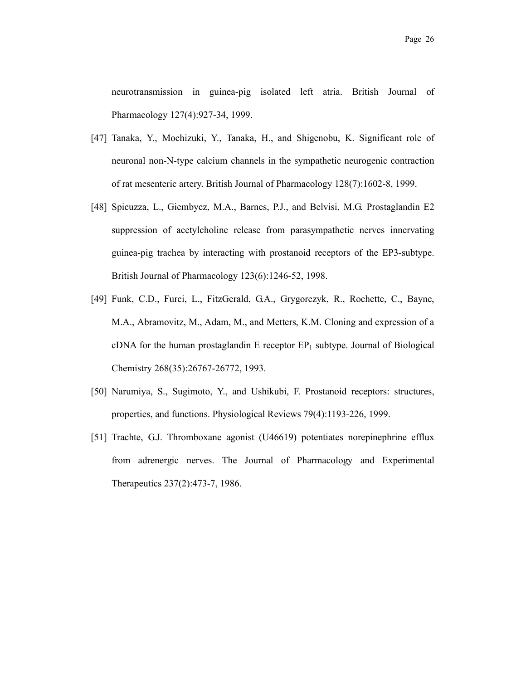neurotransmission in guinea-pig isolated left atria. British Journal of Pharmacology 127(4):927-34, 1999.

- [47] Tanaka, Y., Mochizuki, Y., Tanaka, H., and Shigenobu, K. Significant role of neuronal non-N-type calcium channels in the sympathetic neurogenic contraction of rat mesenteric artery. British Journal of Pharmacology 128(7):1602-8, 1999.
- [48] Spicuzza, L., Giembycz, M.A., Barnes, P.J., and Belvisi, M.G. Prostaglandin E2 suppression of acetylcholine release from parasympathetic nerves innervating guinea-pig trachea by interacting with prostanoid receptors of the EP3-subtype. British Journal of Pharmacology 123(6):1246-52, 1998.
- [49] Funk, C.D., Furci, L., FitzGerald, G.A., Grygorczyk, R., Rochette, C., Bayne, M.A., Abramovitz, M., Adam, M., and Metters, K.M. Cloning and expression of a cDNA for the human prostaglandin E receptor  $EP_1$  subtype. Journal of Biological Chemistry 268(35):26767-26772, 1993.
- [50] Narumiya, S., Sugimoto, Y., and Ushikubi, F. Prostanoid receptors: structures, properties, and functions. Physiological Reviews 79(4):1193-226, 1999.
- [51] Trachte, G.J. Thromboxane agonist (U46619) potentiates norepinephrine efflux from adrenergic nerves. The Journal of Pharmacology and Experimental Therapeutics 237(2):473-7, 1986.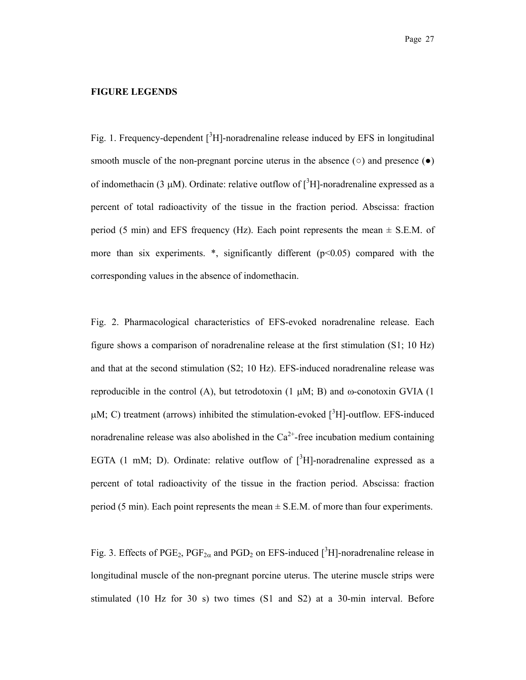#### **FIGURE LEGENDS**

Fig. 1. Frequency-dependent  $\int^3 H$ ]-noradrenaline release induced by EFS in longitudinal smooth muscle of the non-pregnant porcine uterus in the absence  $\circ$  and presence  $\bullet$ of indomethacin (3  $\mu$ M). Ordinate: relative outflow of [<sup>3</sup>H]-noradrenaline expressed as a percent of total radioactivity of the tissue in the fraction period. Abscissa: fraction period (5 min) and EFS frequency (Hz). Each point represents the mean  $\pm$  S.E.M. of more than six experiments.  $*$ , significantly different ( $p<0.05$ ) compared with the corresponding values in the absence of indomethacin.

Fig. 2. Pharmacological characteristics of EFS-evoked noradrenaline release. Each figure shows a comparison of noradrenaline release at the first stimulation (S1; 10 Hz) and that at the second stimulation (S2; 10 Hz). EFS-induced noradrenaline release was reproducible in the control (A), but tetrodotoxin (1  $\mu$ M; B) and  $\omega$ -conotoxin GVIA (1  $\mu$ M; C) treatment (arrows) inhibited the stimulation-evoked [ $3H$ ]-outflow. EFS-induced noradrenaline release was also abolished in the  $Ca^{2+}$ -free incubation medium containing EGTA (1 mM; D). Ordinate: relative outflow of  $\int^3 H$ ]-noradrenaline expressed as a percent of total radioactivity of the tissue in the fraction period. Abscissa: fraction period (5 min). Each point represents the mean  $\pm$  S.E.M. of more than four experiments.

Fig. 3. Effects of PGE<sub>2</sub>, PGF<sub>2 $\alpha$ </sub> and PGD<sub>2</sub> on EFS-induced [<sup>3</sup>H]-noradrenaline release in longitudinal muscle of the non-pregnant porcine uterus. The uterine muscle strips were stimulated (10 Hz for 30 s) two times (S1 and S2) at a 30-min interval. Before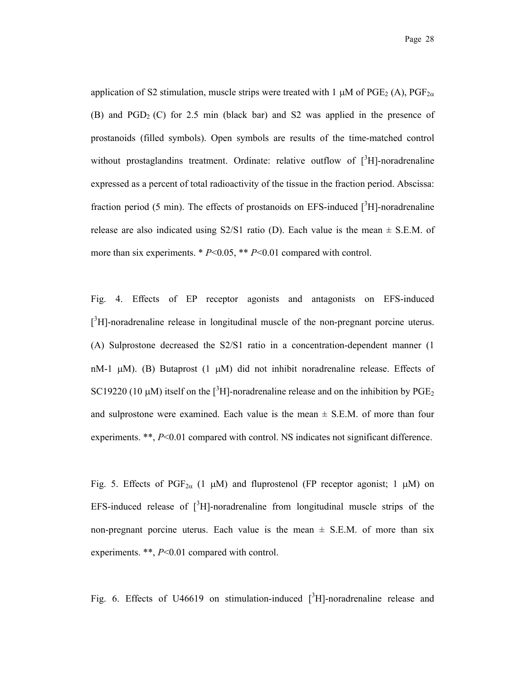application of S2 stimulation, muscle strips were treated with 1  $\mu$ M of PGE<sub>2</sub> (A), PGF<sub>2*a*</sub> (B) and  $PGD<sub>2</sub>$  (C) for 2.5 min (black bar) and S2 was applied in the presence of prostanoids (filled symbols). Open symbols are results of the time-matched control without prostaglandins treatment. Ordinate: relative outflow of  $[^3H]$ -noradrenaline expressed as a percent of total radioactivity of the tissue in the fraction period. Abscissa: fraction period (5 min). The effects of prostanoids on EFS-induced  $\int^3 H$ -noradrenaline release are also indicated using  $S2/S1$  ratio (D). Each value is the mean  $\pm$  S.E.M. of more than six experiments. \* *P*<0.05, \*\* *P*<0.01 compared with control.

Fig. 4. Effects of EP receptor agonists and antagonists on EFS-induced  $[$ <sup>3</sup>H]-noradrenaline release in longitudinal muscle of the non-pregnant porcine uterus. (A) Sulprostone decreased the S2/S1 ratio in a concentration-dependent manner (1 nM-1  $\mu$ M). (B) Butaprost (1  $\mu$ M) did not inhibit noradrenaline release. Effects of SC19220 (10  $\mu$ M) itself on the [<sup>3</sup>H]-noradrenaline release and on the inhibition by PGE<sub>2</sub> and sulprostone were examined. Each value is the mean  $\pm$  S.E.M. of more than four experiments. \*\*,  $P<0.01$  compared with control. NS indicates not significant difference.

Fig. 5. Effects of PGF<sub>2 $\alpha$ </sub> (1  $\mu$ M) and fluprostenol (FP receptor agonist; 1  $\mu$ M) on EFS-induced release of  $\int_0^3 H$ ]-noradrenaline from longitudinal muscle strips of the non-pregnant porcine uterus. Each value is the mean  $\pm$  S.E.M. of more than six experiments. \*\*, *P*<0.01 compared with control.

Fig. 6. Effects of U46619 on stimulation-induced  $\int^3 H$ ]-noradrenaline release and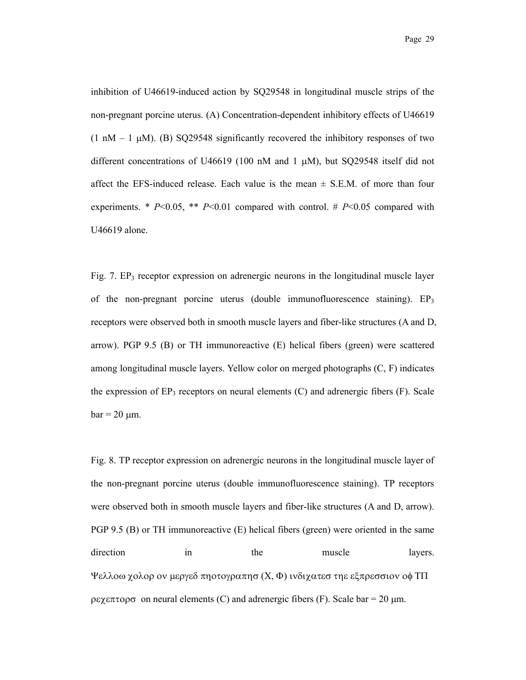inhibition of U46619-induced action by SQ29548 in longitudinal muscle strips of the non-pregnant porcine uterus. (A) Concentration-dependent inhibitory effects of U46619  $(1 \text{ nM} - 1 \text{ µ})$ . (B) SO29548 significantly recovered the inhibitory responses of two different concentrations of U46619 (100 nM and 1  $\mu$ M), but SO29548 itself did not affect the EFS-induced release. Each value is the mean  $\pm$  S.E.M. of more than four experiments. \*  $P<0.05$ , \*\*  $P<0.01$  compared with control. #  $P<0.05$  compared with U46619 alone.

Fig. 7.  $EP_3$  receptor expression on adrenergic neurons in the longitudinal muscle layer of the non-pregnant porcine uterus (double immunofluorescence staining).  $EP_3$ receptors were observed both in smooth muscle layers and fiber-like structures (A and D, arrow). PGP 9.5 (B) or TH immunoreactive (E) helical fibers (green) were scattered among longitudinal muscle layers. Yellow color on merged photographs (C, F) indicates the expression of  $EP_3$  receptors on neural elements  $(C)$  and adrenergic fibers  $(F)$ . Scale  $bar = 20 \mu m$ .

Fig. 8. TP receptor expression on adrenergic neurons in the longitudinal muscle layer of the non-pregnant porcine uterus (double immunofluorescence staining). TP receptors were observed both in smooth muscle layers and fiber-like structures (A and D, arrow). PGP 9.5 (B) or TH immunoreactive (E) helical fibers (green) were oriented in the same direction in the muscle layers. Ψελλοω χολορ ον μεργεδ πηοτογραπησ (Χ, Φ) ινδιχατεσ τηε εξπρεσσιον οφ ΤΠ  $\beta$ εχεπτορσ on neural elements (C) and adrenergic fibers (F). Scale bar = 20 μm.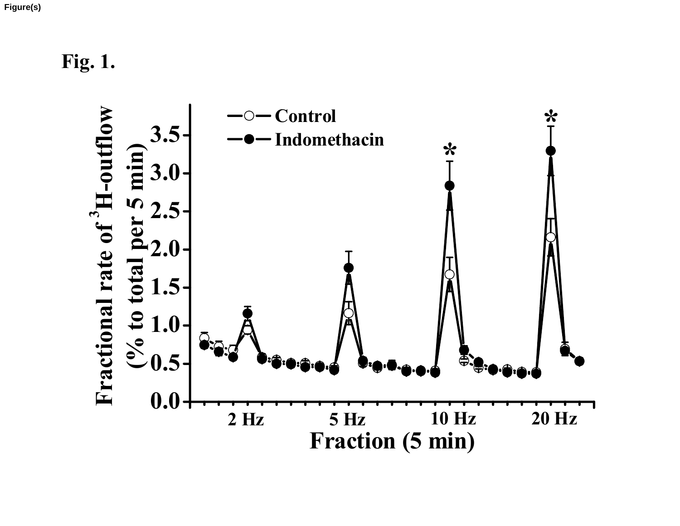**Figure(s)**

**Fig. 1.**

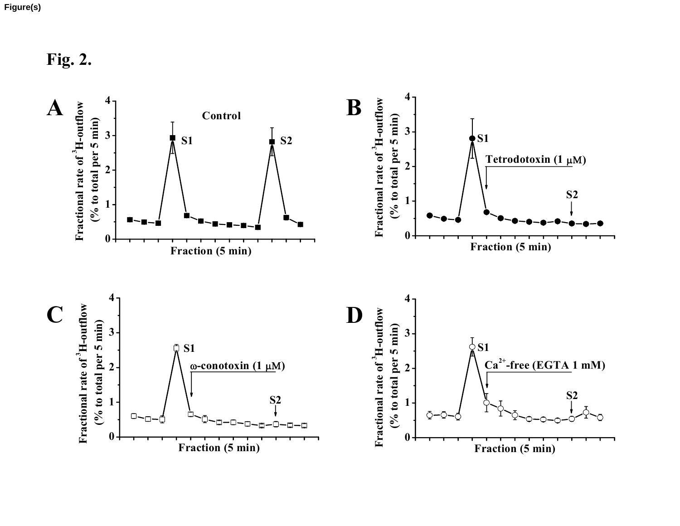**Fig. 2.**

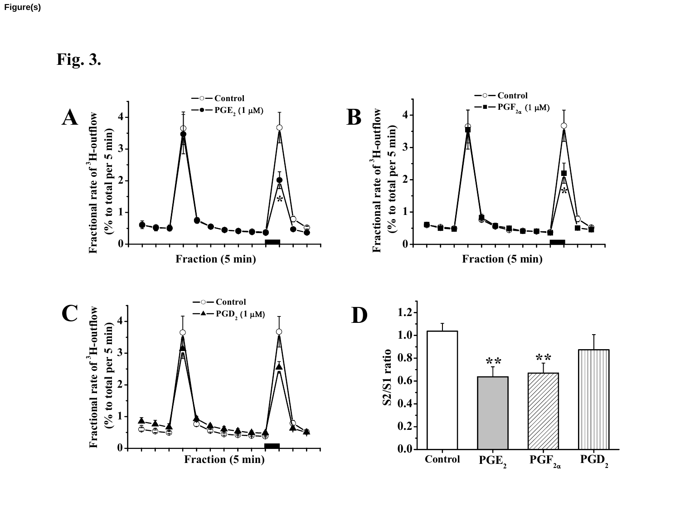**Fig. 3.**

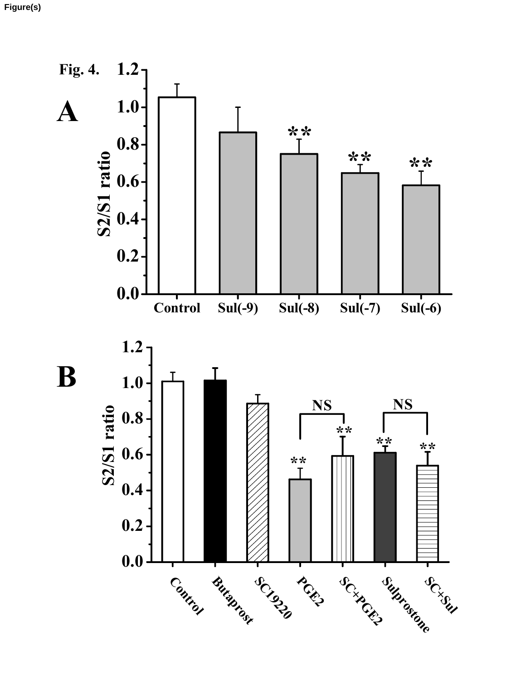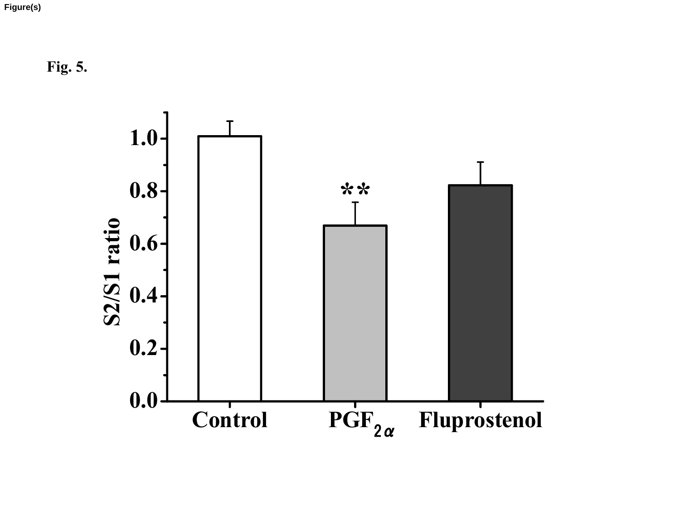**Fig. 5.**

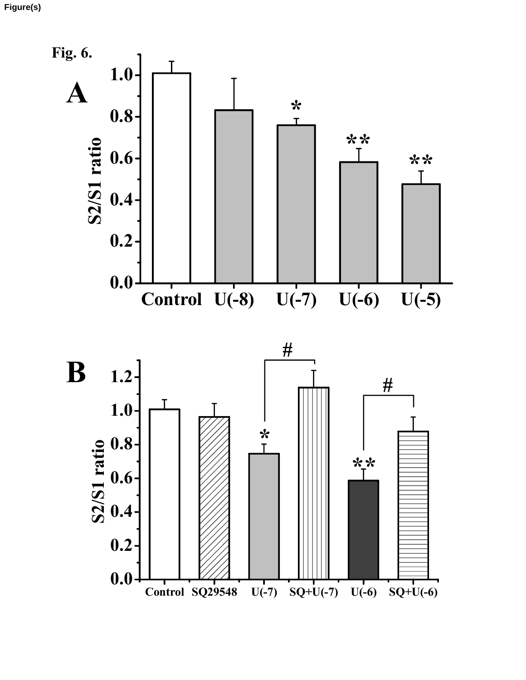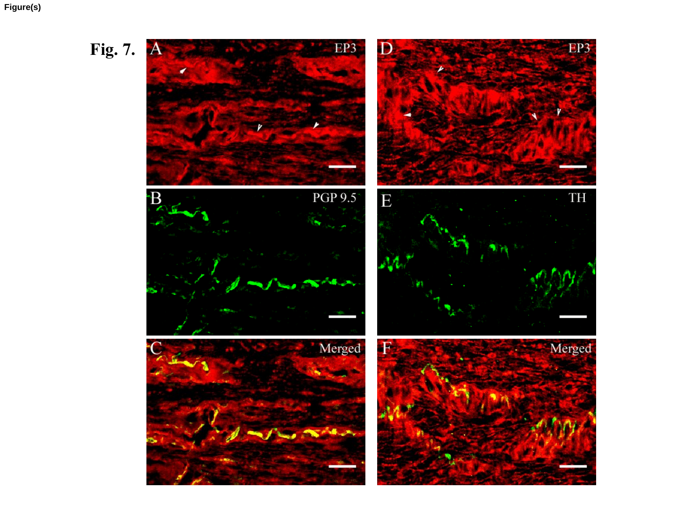